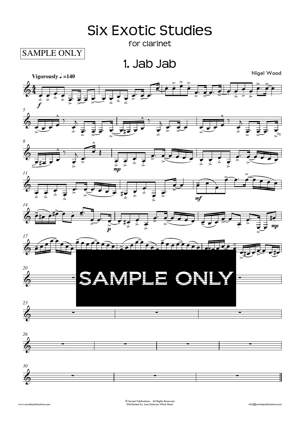## **Six Exotic Studies**

for clarinet

**SAMPLE ONLY** 

1. Jab Jab

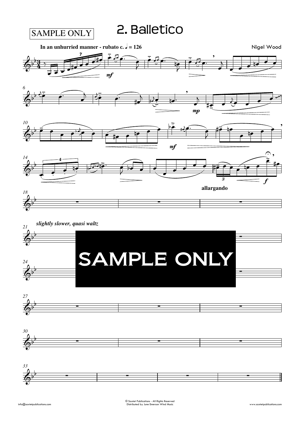2. Balletico







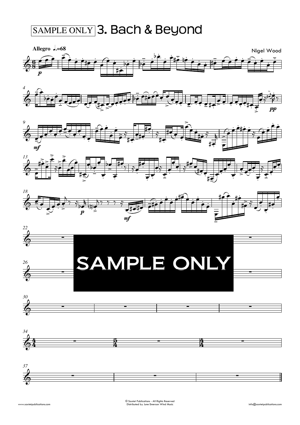## SAMPLE ONLY 3. Bach & Beyond



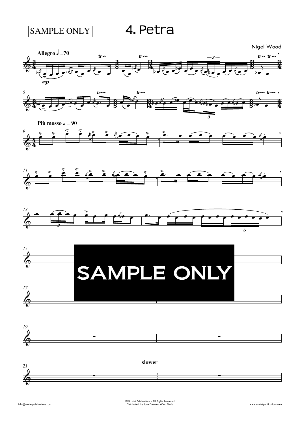**SAMPLE ONLY** 

4. Petra

Nigel Wood















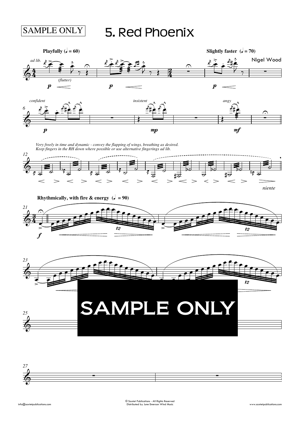## 5. Red Phoenix